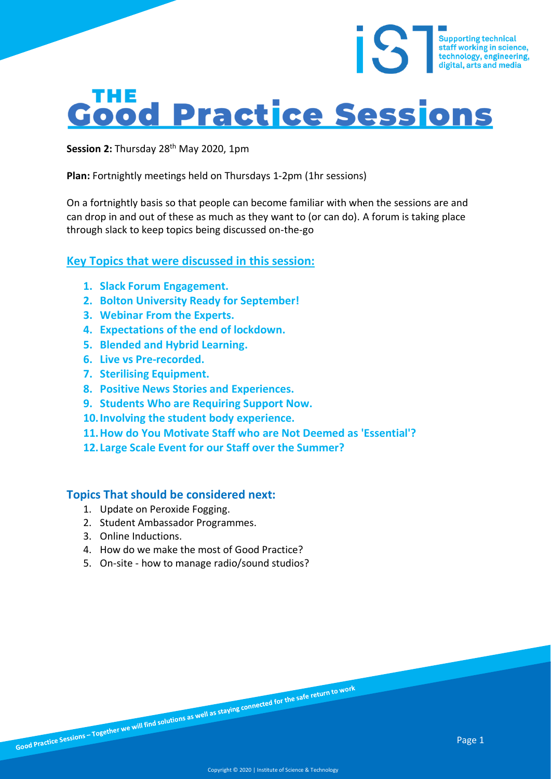# **Good Practice Sessions**

Session 2: Thursday 28<sup>th</sup> May 2020, 1pm

**Plan:** Fortnightly meetings held on Thursdays 1-2pm (1hr sessions)

On a fortnightly basis so that people can become familiar with when the sessions are and can drop in and out of these as much as they want to (or can do). A forum is taking place through slack to keep topics being discussed on-the-go

#### **Key Topics that were discussed in this session:**

- **1. Slack Forum Engagement.**
- **2. Bolton University Ready for September!**
- **3. Webinar From the Experts.**
- **4. Expectations of the end of lockdown.**
- **5. Blended and Hybrid Learning.**
- **6. Live vs Pre-recorded.**
- **7. Sterilising Equipment.**
- **8. Positive News Stories and Experiences.**
- **9. Students Who are Requiring Support Now.**
- **10.Involving the student body experience.**
- **11.How do You Motivate Staff who are Not Deemed as 'Essential'?**
- **12. Large Scale Event for our Staff over the Summer?**

#### **Topics That should be considered next:**

- 1. Update on Peroxide Fogging.
- 2. Student Ambassador Programmes.
- 3. Online Inductions.
- 4. How do we make the most of Good Practice?
- 5. On-site how to manage radio/sound studios?

Supporting technical<br>staff working in science,<br>technology, engineering,<br>digital, arts and media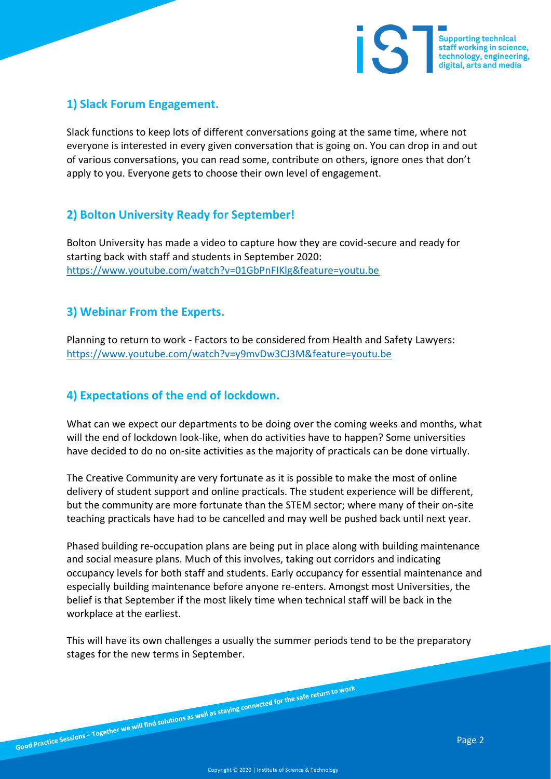

### **1) Slack Forum Engagement.**

Slack functions to keep lots of different conversations going at the same time, where not everyone is interested in every given conversation that is going on. You can drop in and out of various conversations, you can read some, contribute on others, ignore ones that don't apply to you. Everyone gets to choose their own level of engagement.

## **2) Bolton University Ready for September!**

Bolton University has made a video to capture how they are covid-secure and ready for starting back with staff and students in September 2020: <https://www.youtube.com/watch?v=01GbPnFIKlg&feature=youtu.be>

#### **3) Webinar From the Experts.**

Planning to return to work - Factors to be considered from Health and Safety Lawyers: <https://www.youtube.com/watch?v=y9mvDw3CJ3M&feature=youtu.be>

## **4) Expectations of the end of lockdown.**

What can we expect our departments to be doing over the coming weeks and months, what will the end of lockdown look-like, when do activities have to happen? Some universities have decided to do no on-site activities as the majority of practicals can be done virtually.

The Creative Community are very fortunate as it is possible to make the most of online delivery of student support and online practicals. The student experience will be different, but the community are more fortunate than the STEM sector; where many of their on-site teaching practicals have had to be cancelled and may well be pushed back until next year.

Phased building re-occupation plans are being put in place along with building maintenance and social measure plans. Much of this involves, taking out corridors and indicating occupancy levels for both staff and students. Early occupancy for essential maintenance and especially building maintenance before anyone re-enters. Amongst most Universities, the belief is that September if the most likely time when technical staff will be back in the workplace at the earliest.

This will have its own challenges a usually the summer periods tend to be the preparatory stages for the new terms in September.

Good Practice Sessions – Together we will find solutions as well as staying connected for the safe return to work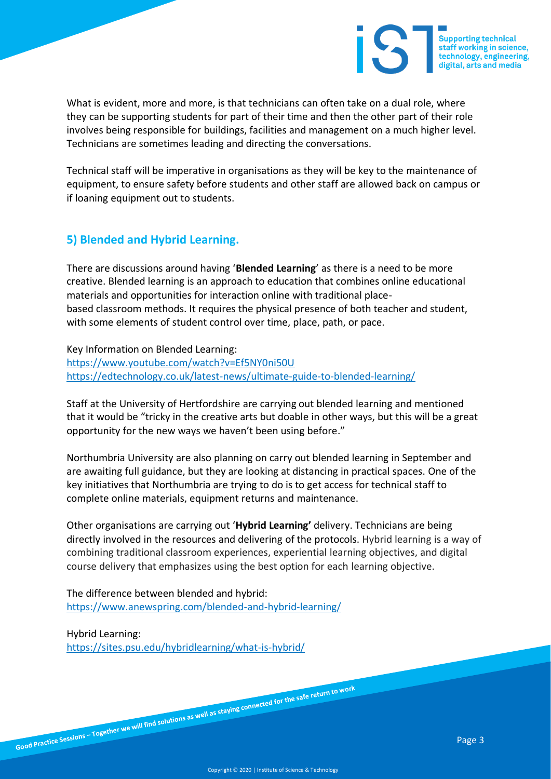

What is evident, more and more, is that technicians can often take on a dual role, where they can be supporting students for part of their time and then the other part of their role involves being responsible for buildings, facilities and management on a much higher level. Technicians are sometimes leading and directing the conversations.

Technical staff will be imperative in organisations as they will be key to the maintenance of equipment, to ensure safety before students and other staff are allowed back on campus or if loaning equipment out to students.

#### **5) Blended and Hybrid Learning.**

There are discussions around having '**Blended Learning**' as there is a need to be more creative. Blended learning is an approach to education that combines online educational materials and opportunities for interaction online with traditional placebased classroom methods. It requires the physical presence of both teacher and student, with some elements of student control over time, place, path, or pace.

Key Information on Blended Learning: <https://www.youtube.com/watch?v=Ef5NY0ni50U> <https://edtechnology.co.uk/latest-news/ultimate-guide-to-blended-learning/>

Staff at the University of Hertfordshire are carrying out blended learning and mentioned that it would be "tricky in the creative arts but doable in other ways, but this will be a great opportunity for the new ways we haven't been using before."

Northumbria University are also planning on carry out blended learning in September and are awaiting full guidance, but they are looking at distancing in practical spaces. One of the key initiatives that Northumbria are trying to do is to get access for technical staff to complete online materials, equipment returns and maintenance.

Other organisations are carrying out '**Hybrid Learning'** delivery. Technicians are being directly involved in the resources and delivering of the protocols. Hybrid learning is a way of combining traditional classroom experiences, experiential learning objectives, and digital course delivery that emphasizes using the best option for each learning objective.

The difference between blended and hybrid: <https://www.anewspring.com/blended-and-hybrid-learning/>

Hybrid Learning:

<https://sites.psu.edu/hybridlearning/what-is-hybrid/>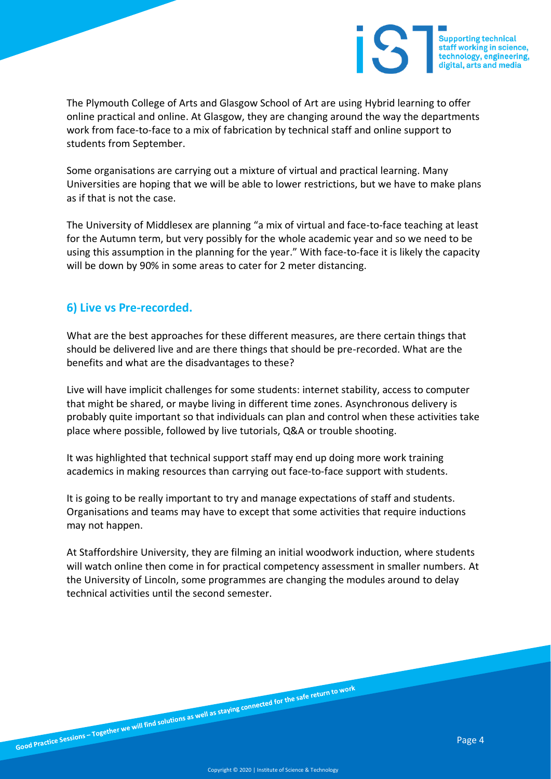

The Plymouth College of Arts and Glasgow School of Art are using Hybrid learning to offer online practical and online. At Glasgow, they are changing around the way the departments work from face-to-face to a mix of fabrication by technical staff and online support to students from September.

Some organisations are carrying out a mixture of virtual and practical learning. Many Universities are hoping that we will be able to lower restrictions, but we have to make plans as if that is not the case.

The University of Middlesex are planning "a mix of virtual and face-to-face teaching at least for the Autumn term, but very possibly for the whole academic year and so we need to be using this assumption in the planning for the year." With face-to-face it is likely the capacity will be down by 90% in some areas to cater for 2 meter distancing.

#### **6) Live vs Pre-recorded.**

What are the best approaches for these different measures, are there certain things that should be delivered live and are there things that should be pre-recorded. What are the benefits and what are the disadvantages to these?

Live will have implicit challenges for some students: internet stability, access to computer that might be shared, or maybe living in different time zones. Asynchronous delivery is probably quite important so that individuals can plan and control when these activities take place where possible, followed by live tutorials, Q&A or trouble shooting.

It was highlighted that technical support staff may end up doing more work training academics in making resources than carrying out face-to-face support with students.

It is going to be really important to try and manage expectations of staff and students. Organisations and teams may have to except that some activities that require inductions may not happen.

At Staffordshire University, they are filming an initial woodwork induction, where students will watch online then come in for practical competency assessment in smaller numbers. At the University of Lincoln, some programmes are changing the modules around to delay technical activities until the second semester.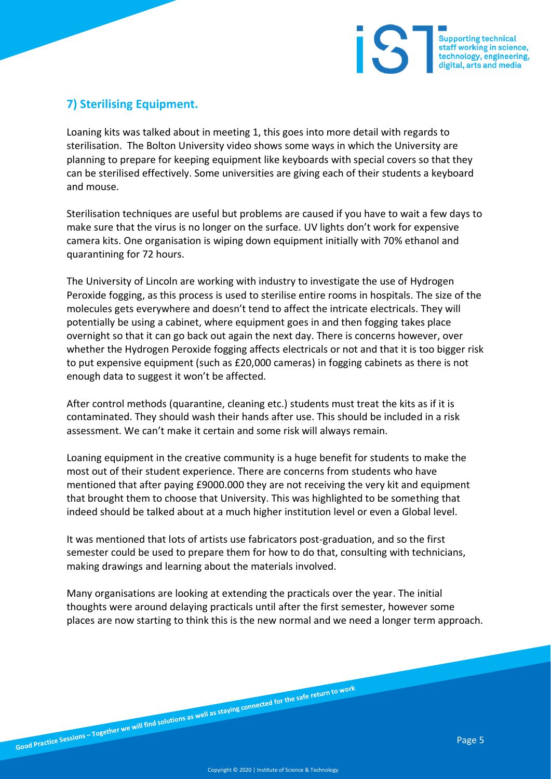

## **7) Sterilising Equipment.**

Loaning kits was talked about in meeting 1, this goes into more detail with regards to sterilisation. The Bolton University video shows some ways in which the University are planning to prepare for keeping equipment like keyboards with special covers so that they can be sterilised effectively. Some universities are giving each of their students a keyboard and mouse.

Sterilisation techniques are useful but problems are caused if you have to wait a few days to make sure that the virus is no longer on the surface. UV lights don't work for expensive camera kits. One organisation is wiping down equipment initially with 70% ethanol and quarantining for 72 hours.

The University of Lincoln are working with industry to investigate the use of Hydrogen Peroxide fogging, as this process is used to sterilise entire rooms in hospitals. The size of the molecules gets everywhere and doesn't tend to affect the intricate electricals. They will potentially be using a cabinet, where equipment goes in and then fogging takes place overnight so that it can go back out again the next day. There is concerns however, over whether the Hydrogen Peroxide fogging affects electricals or not and that it is too bigger risk to put expensive equipment (such as £20,000 cameras) in fogging cabinets as there is not enough data to suggest it won't be affected.

After control methods (quarantine, cleaning etc.) students must treat the kits as if it is contaminated. They should wash their hands after use. This should be included in a risk assessment. We can't make it certain and some risk will always remain.

Loaning equipment in the creative community is a huge benefit for students to make the most out of their student experience. There are concerns from students who have mentioned that after paying £9000.000 they are not receiving the very kit and equipment that brought them to choose that University. This was highlighted to be something that indeed should be talked about at a much higher institution level or even a Global level.

It was mentioned that lots of artists use fabricators post-graduation, and so the first semester could be used to prepare them for how to do that, consulting with technicians, making drawings and learning about the materials involved.

Many organisations are looking at extending the practicals over the year. The initial thoughts were around delaying practicals until after the first semester, however some places are now starting to think this is the new normal and we need a longer term approach.

Good Practice Sessions – Together we will find solutions as well as staying connected for the safe return to work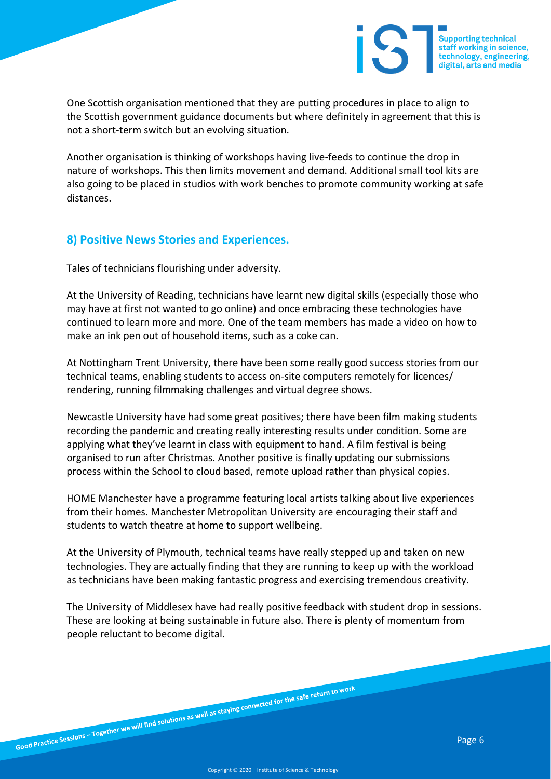One Scottish organisation mentioned that they are putting procedures in place to align to the Scottish government guidance documents but where definitely in agreement that this is not a short-term switch but an evolving situation.

Another organisation is thinking of workshops having live-feeds to continue the drop in nature of workshops. This then limits movement and demand. Additional small tool kits are also going to be placed in studios with work benches to promote community working at safe distances.

#### **8) Positive News Stories and Experiences.**

Tales of technicians flourishing under adversity.

At the University of Reading, technicians have learnt new digital skills (especially those who may have at first not wanted to go online) and once embracing these technologies have continued to learn more and more. One of the team members has made a video on how to make an ink pen out of household items, such as a coke can.

At Nottingham Trent University, there have been some really good success stories from our technical teams, enabling students to access on-site computers remotely for licences/ rendering, running filmmaking challenges and virtual degree shows.

Newcastle University have had some great positives; there have been film making students recording the pandemic and creating really interesting results under condition. Some are applying what they've learnt in class with equipment to hand. A film festival is being organised to run after Christmas. Another positive is finally updating our submissions process within the School to cloud based, remote upload rather than physical copies.

HOME Manchester have a programme featuring local artists talking about live experiences from their homes. Manchester Metropolitan University are encouraging their staff and students to watch theatre at home to support wellbeing.

At the University of Plymouth, technical teams have really stepped up and taken on new technologies. They are actually finding that they are running to keep up with the workload as technicians have been making fantastic progress and exercising tremendous creativity.

The University of Middlesex have had really positive feedback with student drop in sessions. These are looking at being sustainable in future also. There is plenty of momentum from people reluctant to become digital.

Good Practice Sessions – Together we will find solutions as well as staying connected for the safe return to work

**Supporting technical** staff working in science,<br>technology, engineering, digital, arts and media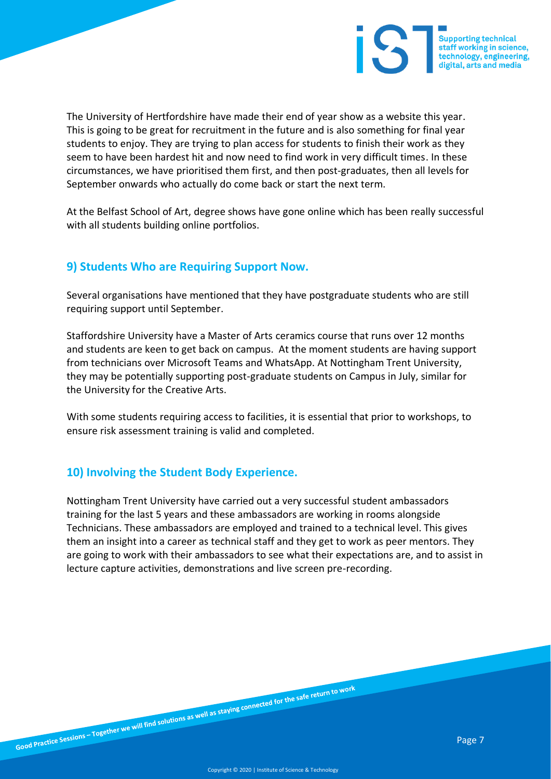

The University of Hertfordshire have made their end of year show as a website this year. This is going to be great for recruitment in the future and is also something for final year students to enjoy. They are trying to plan access for students to finish their work as they seem to have been hardest hit and now need to find work in very difficult times. In these circumstances, we have prioritised them first, and then post-graduates, then all levels for September onwards who actually do come back or start the next term.

At the Belfast School of Art, degree shows have gone online which has been really successful with all students building online portfolios.

## **9) Students Who are Requiring Support Now.**

Several organisations have mentioned that they have postgraduate students who are still requiring support until September.

Staffordshire University have a Master of Arts ceramics course that runs over 12 months and students are keen to get back on campus. At the moment students are having support from technicians over Microsoft Teams and WhatsApp. At Nottingham Trent University, they may be potentially supporting post-graduate students on Campus in July, similar for the University for the Creative Arts.

With some students requiring access to facilities, it is essential that prior to workshops, to ensure risk assessment training is valid and completed.

#### **10) Involving the Student Body Experience.**

Nottingham Trent University have carried out a very successful student ambassadors training for the last 5 years and these ambassadors are working in rooms alongside Technicians. These ambassadors are employed and trained to a technical level. This gives them an insight into a career as technical staff and they get to work as peer mentors. They are going to work with their ambassadors to see what their expectations are, and to assist in lecture capture activities, demonstrations and live screen pre-recording.